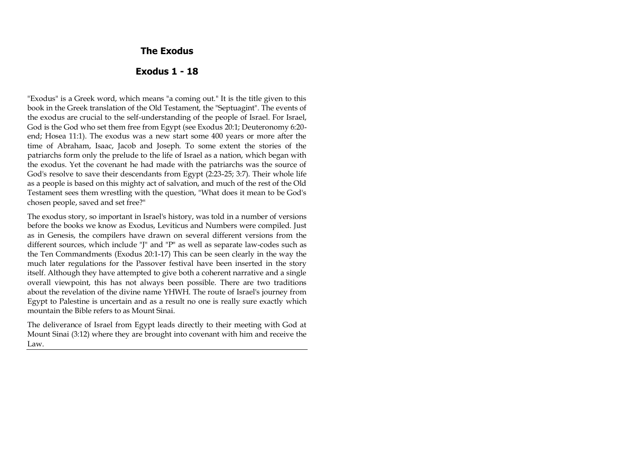#### **The Exodus**

#### **Exodus 1 - 18**

"Exodus" is a Greek word, which means "a coming out." It is the title given to this book in the Greek translation of the Old Testament, the "Septuagint". The events of the exodus are crucial to the self-understanding of the people of Israel. For Israel, God is the God who set them free from Egypt (see Exodus 20:1; Deuteronomy 6:20 end; Hosea 11:1). The exodus was a new start some 400 years or more after the time of Abraham, Isaac, Jacob and Joseph. To some extent the stories of the patriarchs form only the prelude to the life of Israel as a nation, which began with the exodus. Yet the covenant he had made with the patriarchs was the source of God's resolve to save their descendants from Egypt (2:23-25; 3:7). Their whole life as a people is based on this mighty act of salvation, and much of the rest of the Old Testament sees them wrestling with the question, "What does it mean to be God's chosen people, saved and set free?"

The exodus story, so important in Israel's history, was told in a number of versions before the books we know as Exodus, Leviticus and Numbers were compiled. Just as in Genesis, the compilers have drawn on several different versions from the different sources, which include "J" and "P" as well as separate law-codes such as the Ten Commandments (Exodus 20:1-17) This can be seen clearly in the way the much later regulations for the Passover festival have been inserted in the story itself. Although they have attempted to give both a coherent narrative and a single overall viewpoint, this has not always been possible. There are two traditions about the revelation of the divine name YHWH. The route of Israel's journey from Egypt to Palestine is uncertain and as a result no one is really sure exactly which mountain the Bible refers to as Mount Sinai.

The deliverance of Israel from Egypt leads directly to their meeting with God at Mount Sinai (3:12) where they are brought into covenant with him and receive the Law.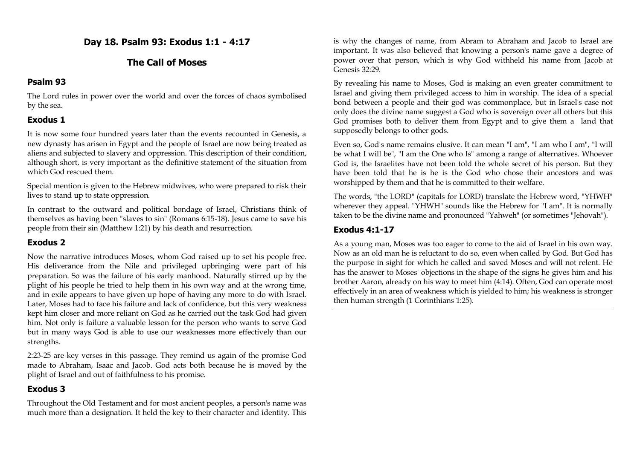**Day 18. Psalm 93: Exodus 1:1 - 4:17**

# **The Call of Moses**

### **Psalm 93**

The Lord rules in power over the world and over the forces of chaos symbolised by the sea.

# **Exodus 1**

It is now some four hundred years later than the events recounted in Genesis, a new dynasty has arisen in Egypt and the people of Israel are now being treated as aliens and subjected to slavery and oppression. This description of their condition, although short, is very important as the definitive statement of the situation from which God rescued them.

Special mention is given to the Hebrew midwives, who were prepared to risk their lives to stand up to state oppression.

In contrast to the outward and political bondage of Israel, Christians think of themselves as having been "slaves to sin" (Romans 6:15-18). Jesus came to save his people from their sin (Matthew 1:21) by his death and resurrection.

# **Exodus 2**

Now the narrative introduces Moses, whom God raised up to set his people free. His deliverance from the Nile and privileged upbringing were part of his preparation. So was the failure of his early manhood. Naturally stirred up by the plight of his people he tried to help them in his own way and at the wrong time, and in exile appears to have given up hope of having any more to do with Israel. Later, Moses had to face his failure and lack of confidence, but this very weakness kept him closer and more reliant on God as he carried out the task God had given him. Not only is failure a valuable lesson for the person who wants to serve God but in many ways God is able to use our weaknesses more effectively than our strengths.

2:23-25 are key verses in this passage. They remind us again of the promise God made to Abraham, Isaac and Jacob. God acts both because he is moved by the plight of Israel and out of faithfulness to his promise.

# **Exodus 3**

Throughout the Old Testament and for most ancient peoples, a person's name was much more than a designation. It held the key to their character and identity. This is why the changes of name, from Abram to Abraham and Jacob to Israel are important. It was also believed that knowing a person's name gave a degree of power over that person, which is why God withheld his name from Jacob at Genesis 32:29.

By revealing his name to Moses, God is making an even greater commitment to Israel and giving them privileged access to him in worship. The idea of a special bond between a people and their god was commonplace, but in Israel's case not only does the divine name suggest a God who is sovereign over all others but this God promises both to deliver them from Egypt and to give them a land that supposedly belongs to other gods.

Even so, God's name remains elusive. It can mean "I am", "I am who I am", "I will be what I will be", "I am the One who Is" among a range of alternatives. Whoever God is, the Israelites have not been told the whole secret of his person. But they have been told that he is he is the God who chose their ancestors and was worshipped by them and that he is committed to their welfare.

The words, "the LORD" (capitals for LORD) translate the Hebrew word, "YHWH" wherever they appeal. "YHWH" sounds like the Hebrew for "I am". It is normally taken to be the divine name and pronounced "Yahweh" (or sometimes "Jehovah").

# **Exodus 4:1-17**

As a young man, Moses was too eager to come to the aid of Israel in his own way. Now as an old man he is reluctant to do so, even when called by God. But God has the purpose in sight for which he called and saved Moses and will not relent. He has the answer to Moses' objections in the shape of the signs he gives him and his brother Aaron, already on his way to meet him (4:14). Often, God can operate most effectively in an area of weakness which is yielded to him; his weakness is stronger then human strength (1 Corinthians 1:25).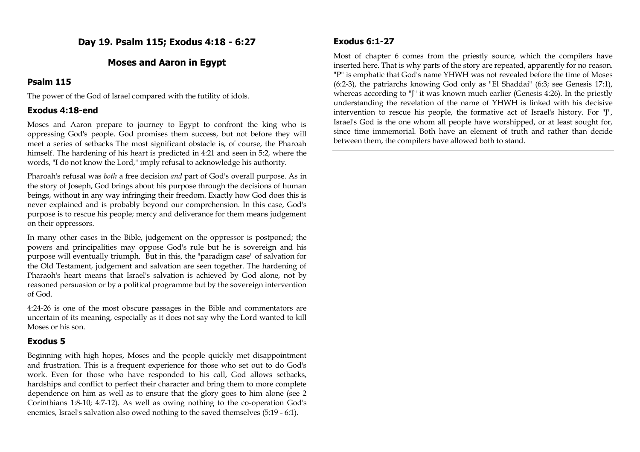# **Day 19. Psalm 115; Exodus 4:18 - 6:27**

### **Moses and Aaron in Egypt**

#### **Psalm 115**

The power of the God of Israel compared with the futility of idols.

### **Exodus 4:18-end**

Moses and Aaron prepare to journey to Egypt to confront the king who is oppressing God's people. God promises them success, but not before they will meet a series of setbacks The most significant obstacle is, of course, the Pharoah himself. The hardening of his heart is predicted in 4:21 and seen in 5:2, where the words, "I do not know the Lord," imply refusal to acknowledge his authority.

Pharoah's refusal was *both* a free decision *and* part of God's overall purpose. As in the story of Joseph, God brings about his purpose through the decisions of human beings, without in any way infringing their freedom. Exactly how God does this is never explained and is probably beyond our comprehension. In this case, God's purpose is to rescue his people; mercy and deliverance for them means judgement on their oppressors.

In many other cases in the Bible, judgement on the oppressor is postponed; the powers and principalities may oppose God's rule but he is sovereign and his purpose will eventually triumph. But in this, the "paradigm case" of salvation for the Old Testament, judgement and salvation are seen together. The hardening of Pharaoh's heart means that Israel's salvation is achieved by God alone, not by reasoned persuasion or by a political programme but by the sovereign intervention of God.

4:24-26 is one of the most obscure passages in the Bible and commentators are uncertain of its meaning, especially as it does not say why the Lord wanted to kill Moses or his son.

# **Exodus 5**

Beginning with high hopes, Moses and the people quickly met disappointment and frustration. This is a frequent experience for those who set out to do God's work. Even for those who have responded to his call, God allows setbacks, hardships and conflict to perfect their character and bring them to more complete dependence on him as well as to ensure that the glory goes to him alone (see 2 Corinthians 1:8-10; 4:7-12). As well as owing nothing to the co-operation God's enemies, Israel's salvation also owed nothing to the saved themselves (5:19 - 6:1).

### **Exodus 6:1-27**

Most of chapter 6 comes from the priestly source, which the compilers have inserted here. That is why parts of the story are repeated, apparently for no reason. "P" is emphatic that God's name YHWH was not revealed before the time of Moses (6:2-3), the patriarchs knowing God only as "El Shaddai" (6:3; see Genesis 17:1), whereas according to "J" it was known much earlier (Genesis 4:26). In the priestly understanding the revelation of the name of YHWH is linked with his decisive intervention to rescue his people, the formative act of Israel's history. For "J", Israel's God is the one whom all people have worshipped, or at least sought for, since time immemorial. Both have an element of truth and rather than decide between them, the compilers have allowed both to stand.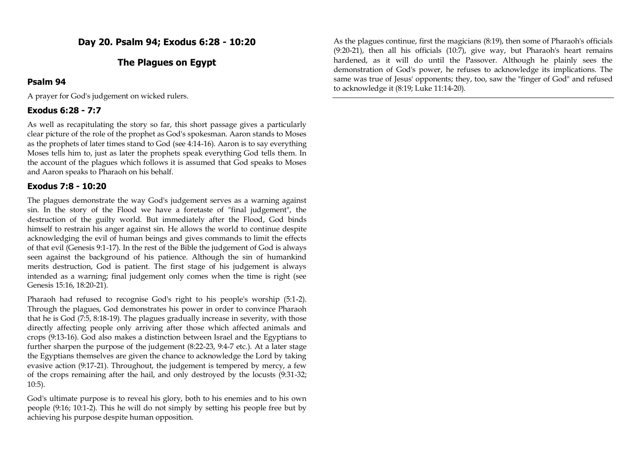# **The Plagues on Egypt**

### **Psalm 94**

A prayer for God's judgement on wicked rulers.

# **Exodus 6:28 - 7:7**

As well as recapitulating the story so far, this short passage gives a particularly clear picture of the role of the prophet as God's spokesman. Aaron stands to Moses as the prophets of later times stand to God (see 4:14-16). Aaron is to say everything Moses tells him to, just as later the prophets speak everything God tells them. In the account of the plagues which follows it is assumed that God speaks to Moses and Aaron speaks to Pharaoh on his behalf.

# **Exodus 7:8 - 10:20**

The plagues demonstrate the way God's judgement serves as a warning against sin. In the story of the Flood we have a foretaste of "final judgement", the destruction of the guilty world. But immediately after the Flood, God binds himself to restrain his anger against sin. He allows the world to continue despite acknowledging the evil of human beings and gives commands to limit the effects of that evil (Genesis 9:1-17). In the rest of the Bible the judgement of God is always seen against the background of his patience. Although the sin of humankind merits destruction, God is patient. The first stage of his judgement is always intended as a warning; final judgement only comes when the time is right (see Genesis 15:16, 18:20-21).

Pharaoh had refused to recognise God's right to his people's worship (5:1-2). Through the plagues, God demonstrates his power in order to convince Pharaoh that he is God (7:5, 8:18-19). The plagues gradually increase in severity, with those directly affecting people only arriving after those which affected animals and crops (9:13-16). God also makes a distinction between Israel and the Egyptians to further sharpen the purpose of the judgement (8:22-23, 9:4-7 etc.). At a later stage the Egyptians themselves are given the chance to acknowledge the Lord by taking evasive action (9:17-21). Throughout, the judgement is tempered by mercy, a few of the crops remaining after the hail, and only destroyed by the locusts (9:31-32; 10:5).

God's ultimate purpose is to reveal his glory, both to his enemies and to his own people (9:16; 10:1-2). This he will do not simply by setting his people free but by achieving his purpose despite human opposition.

As the plagues continue, first the magicians (8:19), then some of Pharaoh's officials (9:20-21), then all his officials (10:7), give way, but Pharaoh's heart remains hardened, as it will do until the Passover. Although he plainly sees the demonstration of God's power, he refuses to acknowledge its implications. The same was true of Jesus' opponents; they, too, saw the "finger of God" and refused to acknowledge it (8:19; Luke 11:14-20).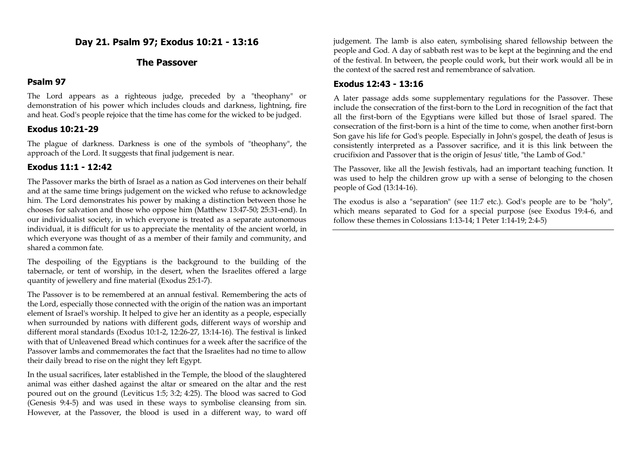**Day 21. Psalm 97; Exodus 10:21 - 13:16**

#### **The Passover**

### **Psalm 97**

The Lord appears as a righteous judge, preceded by a "theophany" or demonstration of his power which includes clouds and darkness, lightning, fire and heat. God's people rejoice that the time has come for the wicked to be judged.

### **Exodus 10:21-29**

The plague of darkness. Darkness is one of the symbols of "theophany", the approach of the Lord. It suggests that final judgement is near.

### **Exodus 11:1 - 12:42**

The Passover marks the birth of Israel as a nation as God intervenes on their behalf and at the same time brings judgement on the wicked who refuse to acknowledge him. The Lord demonstrates his power by making a distinction between those he chooses for salvation and those who oppose him (Matthew 13:47-50; 25:31-end). In our individualist society, in which everyone is treated as a separate autonomous individual, it is difficult for us to appreciate the mentality of the ancient world, in which everyone was thought of as a member of their family and community, and shared a common fate.

The despoiling of the Egyptians is the background to the building of the tabernacle, or tent of worship, in the desert, when the Israelites offered a large quantity of jewellery and fine material (Exodus 25:1-7).

The Passover is to be remembered at an annual festival. Remembering the acts of the Lord, especially those connected with the origin of the nation was an important element of Israel's worship. It helped to give her an identity as a people, especially when surrounded by nations with different gods, different ways of worship and different moral standards (Exodus 10:1-2, 12:26-27, 13:14-16). The festival is linked with that of Unleavened Bread which continues for a week after the sacrifice of the Passover lambs and commemorates the fact that the Israelites had no time to allow their daily bread to rise on the night they left Egypt.

In the usual sacrifices, later established in the Temple, the blood of the slaughtered animal was either dashed against the altar or smeared on the altar and the rest poured out on the ground (Leviticus 1:5; 3:2; 4:25). The blood was sacred to God (Genesis 9:4-5) and was used in these ways to symbolise cleansing from sin. However, at the Passover, the blood is used in a different way, to ward off judgement. The lamb is also eaten, symbolising shared fellowship between the people and God. A day of sabbath rest was to be kept at the beginning and the end of the festival. In between, the people could work, but their work would all be in the context of the sacred rest and remembrance of salvation.

#### **Exodus 12:43 - 13:16**

A later passage adds some supplementary regulations for the Passover. These include the consecration of the first-born to the Lord in recognition of the fact that all the first-born of the Egyptians were killed but those of Israel spared. The consecration of the first-born is a hint of the time to come, when another first-born Son gave his life for God's people. Especially in John's gospel, the death of Jesus is consistently interpreted as a Passover sacrifice, and it is this link between the crucifixion and Passover that is the origin of Jesus' title, "the Lamb of God."

The Passover, like all the Jewish festivals, had an important teaching function. It was used to help the children grow up with a sense of belonging to the chosen people of God (13:14-16).

The exodus is also a "separation" (see 11:7 etc.). God's people are to be "holy", which means separated to God for a special purpose (see Exodus 19:4-6, and follow these themes in Colossians 1:13-14; 1 Peter 1:14-19; 2:4-5)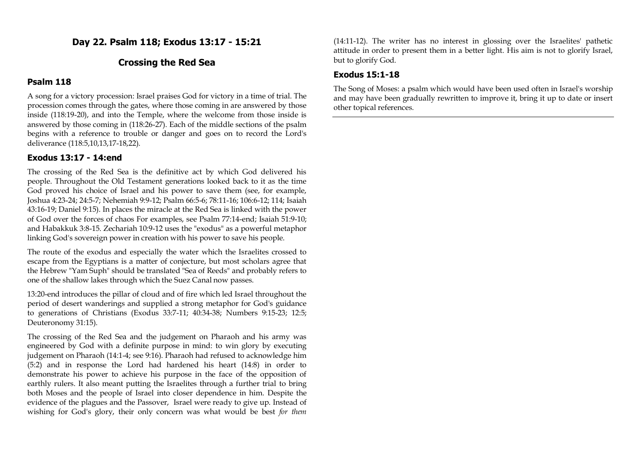**Day 22. Psalm 118; Exodus 13:17 - 15:21**

### **Crossing the Red Sea**

#### **Psalm 118**

A song for a victory procession: Israel praises God for victory in a time of trial. The procession comes through the gates, where those coming in are answered by those inside (118:19-20), and into the Temple, where the welcome from those inside is answered by those coming in (118:26-27). Each of the middle sections of the psalm begins with a reference to trouble or danger and goes on to record the Lord's deliverance (118:5,10,13,17-18,22).

#### **Exodus 13:17 - 14:end**

The crossing of the Red Sea is the definitive act by which God delivered his people. Throughout the Old Testament generations looked back to it as the time God proved his choice of Israel and his power to save them (see, for example, Joshua 4:23-24; 24:5-7; Nehemiah 9:9-12; Psalm 66:5-6; 78:11-16; 106:6-12; 114; Isaiah 43:16-19; Daniel 9:15). In places the miracle at the Red Sea is linked with the power of God over the forces of chaos For examples, see Psalm 77:14-end; Isaiah 51:9-10; and Habakkuk 3:8-15. Zechariah 10:9-12 uses the "exodus" as a powerful metaphor linking God's sovereign power in creation with his power to save his people.

The route of the exodus and especially the water which the Israelites crossed to escape from the Egyptians is a matter of conjecture, but most scholars agree that the Hebrew "Yam Suph" should be translated "Sea of Reeds" and probably refers to one of the shallow lakes through which the Suez Canal now passes.

13:20-end introduces the pillar of cloud and of fire which led Israel throughout the period of desert wanderings and supplied a strong metaphor for God's guidance to generations of Christians (Exodus 33:7-11; 40:34-38; Numbers 9:15-23; 12:5; Deuteronomy 31:15).

The crossing of the Red Sea and the judgement on Pharaoh and his army was engineered by God with a definite purpose in mind: to win glory by executing judgement on Pharaoh (14:1-4; see 9:16). Pharaoh had refused to acknowledge him (5:2) and in response the Lord had hardened his heart (14:8) in order to demonstrate his power to achieve his purpose in the face of the opposition of earthly rulers. It also meant putting the Israelites through a further trial to bring both Moses and the people of Israel into closer dependence in him. Despite the evidence of the plagues and the Passover, Israel were ready to give up. Instead of wishing for God's glory, their only concern was what would be best *for them*

(14:11-12). The writer has no interest in glossing over the Israelites' pathetic attitude in order to present them in a better light. His aim is not to glorify Israel, but to glorify God.

#### **Exodus 15:1-18**

The Song of Moses: a psalm which would have been used often in Israel's worship and may have been gradually rewritten to improve it, bring it up to date or insert other topical references.